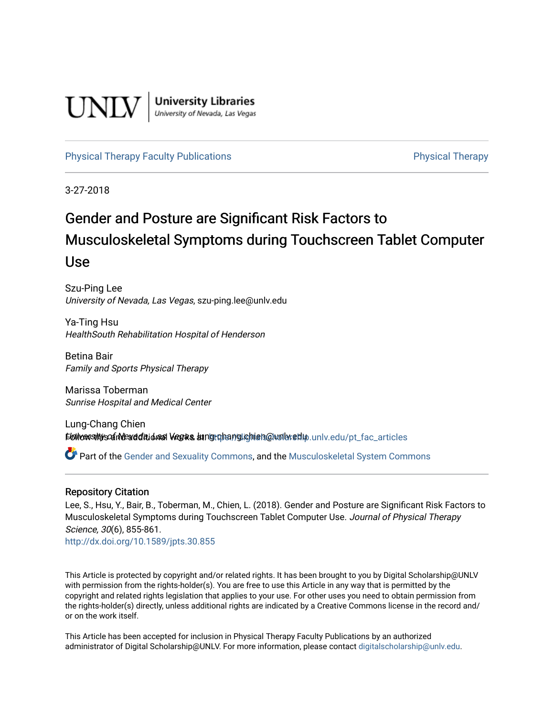

**University Libraries**<br>University of Nevada, Las Vegas

#### [Physical Therapy Faculty Publications](https://digitalscholarship.unlv.edu/pt_fac_articles) **Physical Therapy** Physical Therapy

3-27-2018

# Gender and Posture are Significant Risk Factors to Musculoskeletal Symptoms during Touchscreen Tablet Computer Use

Szu-Ping Lee University of Nevada, Las Vegas, szu-ping.lee@unlv.edu

Ya-Ting Hsu HealthSouth Rehabilitation Hospital of Henderson

Betina Bair Family and Sports Physical Therapy

Marissa Toberman Sunrise Hospital and Medical Center

Lung-Chang Chien Univ Follow this and additional works at: ersity of Nevada, Las Vegas, lung-chang.chien@unlv https://digitalscholarship.unlv [.edu .edu/pt\\_fac\\_articles](https://digitalscholarship.unlv.edu/pt_fac_articles?utm_source=digitalscholarship.unlv.edu%2Fpt_fac_articles%2F74&utm_medium=PDF&utm_campaign=PDFCoverPages) 

Part of the [Gender and Sexuality Commons](http://network.bepress.com/hgg/discipline/420?utm_source=digitalscholarship.unlv.edu%2Fpt_fac_articles%2F74&utm_medium=PDF&utm_campaign=PDFCoverPages), and the [Musculoskeletal System Commons](http://network.bepress.com/hgg/discipline/938?utm_source=digitalscholarship.unlv.edu%2Fpt_fac_articles%2F74&utm_medium=PDF&utm_campaign=PDFCoverPages)

#### Repository Citation

Lee, S., Hsu, Y., Bair, B., Toberman, M., Chien, L. (2018). Gender and Posture are Significant Risk Factors to Musculoskeletal Symptoms during Touchscreen Tablet Computer Use. Journal of Physical Therapy Science, 30(6), 855-861.

<http://dx.doi.org/10.1589/jpts.30.855>

This Article is protected by copyright and/or related rights. It has been brought to you by Digital Scholarship@UNLV with permission from the rights-holder(s). You are free to use this Article in any way that is permitted by the copyright and related rights legislation that applies to your use. For other uses you need to obtain permission from the rights-holder(s) directly, unless additional rights are indicated by a Creative Commons license in the record and/ or on the work itself.

This Article has been accepted for inclusion in Physical Therapy Faculty Publications by an authorized administrator of Digital Scholarship@UNLV. For more information, please contact [digitalscholarship@unlv.edu.](mailto:digitalscholarship@unlv.edu)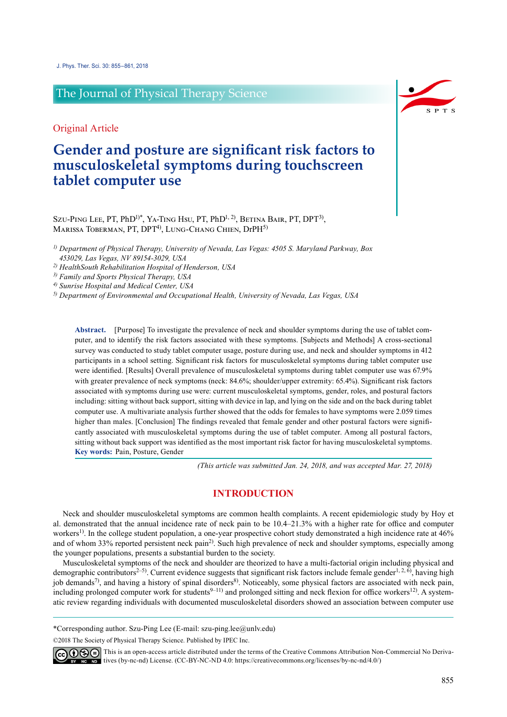### The Journal of Physical Therapy Science

#### Original Article

## **Gender and posture are significant risk factors to musculoskeletal symptoms during touchscreen tablet computer use**

Szu-Ping Lee, PT, PhD<sup>1)\*</sup>, Ya-Ting Hsu, PT, PhD<sup>1, 2)</sup>, Betina Bair, PT, DPT<sup>3)</sup>, MARISSA TOBERMAN, PT, DPT<sup>4)</sup>, LUNG-CHANG CHIEN, DrPH<sup>5)</sup>

*1) Department of Physical Therapy, University of Nevada, Las Vegas: 4505 S. Maryland Parkway, Box 453029, Las Vegas, NV 89154-3029, USA*

*2) HealthSouth Rehabilitation Hospital of Henderson, USA*

*3) Family and Sports Physical Therapy, USA*

*4) Sunrise Hospital and Medical Center, USA*

*5) Department of Environmental and Occupational Health, University of Nevada, Las Vegas, USA*

**Abstract.** [Purpose] To investigate the prevalence of neck and shoulder symptoms during the use of tablet computer, and to identify the risk factors associated with these symptoms. [Subjects and Methods] A cross-sectional survey was conducted to study tablet computer usage, posture during use, and neck and shoulder symptoms in 412 participants in a school setting. Significant risk factors for musculoskeletal symptoms during tablet computer use were identified. [Results] Overall prevalence of musculoskeletal symptoms during tablet computer use was 67.9% with greater prevalence of neck symptoms (neck: 84.6%; shoulder/upper extremity: 65.4%). Significant risk factors associated with symptoms during use were: current musculoskeletal symptoms, gender, roles, and postural factors including: sitting without back support, sitting with device in lap, and lying on the side and on the back during tablet computer use. A multivariate analysis further showed that the odds for females to have symptoms were 2.059 times higher than males. [Conclusion] The findings revealed that female gender and other postural factors were significantly associated with musculoskeletal symptoms during the use of tablet computer. Among all postural factors, sitting without back support was identified as the most important risk factor for having musculoskeletal symptoms. **Key words:** Pain, Posture, Gender

*(This article was submitted Jan. 24, 2018, and was accepted Mar. 27, 2018)*

#### **INTRODUCTION**

Neck and shoulder musculoskeletal symptoms are common health complaints. A recent epidemiologic study by Hoy et al. demonstrated that the annual incidence rate of neck pain to be 10.4–21.3% with a higher rate for office and computer workers<sup>1)</sup>. In the college student population, a one-year prospective cohort study demonstrated a high incidence rate at 46% and of whom 33% reported persistent neck pain<sup>2)</sup>. Such high prevalence of neck and shoulder symptoms, especially among the younger populations, presents a substantial burden to the society.

Musculoskeletal symptoms of the neck and shoulder are theorized to have a multi-factorial origin including physical and demographic contributors<sup>2-5</sup>). Current evidence suggests that significant risk factors include female gender<sup>1, 2, 6</sup>), having high job demands<sup>7</sup>), and having a history of spinal disorders<sup>8)</sup>. Noticeably, some physical factors are associated with neck pain, including prolonged computer work for students<sup>9–11</sup>) and prolonged sitting and neck flexion for office workers<sup>12</sup>. A systematic review regarding individuals with documented musculoskeletal disorders showed an association between computer use

\*Corresponding author. Szu-Ping Lee (E-mail: szu-ping.lee@unlv.edu)

©2018 The Society of Physical Therapy Science. Published by IPEC Inc.



 $\widehat{\mathbb{G}(\mathbf{0})}$  This is an open-access article distributed under the terms of the Creative Commons Attribution Non-Commercial No Derivatives (by-nc-nd) License. (CC-BY-NC-ND 4.0: https://creativecommons.org/licenses/by-nc-nd/4.0/)

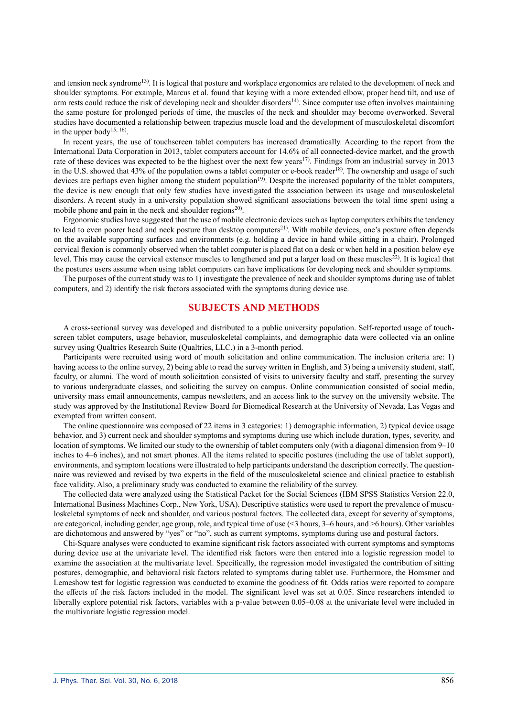and tension neck syndrome<sup>13)</sup>. It is logical that posture and workplace ergonomics are related to the development of neck and shoulder symptoms. For example, Marcus et al. found that keying with a more extended elbow, proper head tilt, and use of arm rests could reduce the risk of developing neck and shoulder disorders<sup>14</sup>. Since computer use often involves maintaining the same posture for prolonged periods of time, the muscles of the neck and shoulder may become overworked. Several studies have documented a relationship between trapezius muscle load and the development of musculoskeletal discomfort in the upper body<sup>15, 16</sup>).

In recent years, the use of touchscreen tablet computers has increased dramatically. According to the report from the International Data Corporation in 2013, tablet computers account for 14.6% of all connected-device market, and the growth rate of these devices was expected to be the highest over the next few years<sup>17</sup>. Findings from an industrial survey in 2013 in the U.S. showed that  $43\%$  of the population owns a tablet computer or e-book reader<sup>18)</sup>. The ownership and usage of such devices are perhaps even higher among the student population<sup>19)</sup>. Despite the increased popularity of the tablet computers, the device is new enough that only few studies have investigated the association between its usage and musculoskeletal disorders. A recent study in a university population showed significant associations between the total time spent using a mobile phone and pain in the neck and shoulder regions<sup>20)</sup>.

Ergonomic studies have suggested that the use of mobile electronic devices such as laptop computers exhibits the tendency to lead to even poorer head and neck posture than desktop computers<sup>21)</sup>. With mobile devices, one's posture often depends on the available supporting surfaces and environments (e.g. holding a device in hand while sitting in a chair). Prolonged cervical flexion is commonly observed when the tablet computer is placed flat on a desk or when held in a position below eye level. This may cause the cervical extensor muscles to lengthened and put a larger load on these muscles<sup>22)</sup>. It is logical that the postures users assume when using tablet computers can have implications for developing neck and shoulder symptoms.

The purposes of the current study was to 1) investigate the prevalence of neck and shoulder symptoms during use of tablet computers, and 2) identify the risk factors associated with the symptoms during device use.

#### **SUBJECTS AND METHODS**

A cross-sectional survey was developed and distributed to a public university population. Self-reported usage of touchscreen tablet computers, usage behavior, musculoskeletal complaints, and demographic data were collected via an online survey using Qualtrics Research Suite (Qualtrics, LLC.) in a 3-month period.

Participants were recruited using word of mouth solicitation and online communication. The inclusion criteria are: 1) having access to the online survey, 2) being able to read the survey written in English, and 3) being a university student, staff, faculty, or alumni. The word of mouth solicitation consisted of visits to university faculty and staff, presenting the survey to various undergraduate classes, and soliciting the survey on campus. Online communication consisted of social media, university mass email announcements, campus newsletters, and an access link to the survey on the university website. The study was approved by the Institutional Review Board for Biomedical Research at the University of Nevada, Las Vegas and exempted from written consent.

The online questionnaire was composed of 22 items in 3 categories: 1) demographic information, 2) typical device usage behavior, and 3) current neck and shoulder symptoms and symptoms during use which include duration, types, severity, and location of symptoms. We limited our study to the ownership of tablet computers only (with a diagonal dimension from 9–10 inches to 4–6 inches), and not smart phones. All the items related to specific postures (including the use of tablet support), environments, and symptom locations were illustrated to help participants understand the description correctly. The questionnaire was reviewed and revised by two experts in the field of the musculoskeletal science and clinical practice to establish face validity. Also, a preliminary study was conducted to examine the reliability of the survey.

The collected data were analyzed using the Statistical Packet for the Social Sciences (IBM SPSS Statistics Version 22.0, International Business Machines Corp., New York, USA). Descriptive statistics were used to report the prevalence of musculoskeletal symptoms of neck and shoulder, and various postural factors. The collected data, except for severity of symptoms, are categorical, including gender, age group, role, and typical time of use (<3 hours, 3–6 hours, and >6 hours). Other variables are dichotomous and answered by "yes" or "no", such as current symptoms, symptoms during use and postural factors.

Chi-Square analyses were conducted to examine significant risk factors associated with current symptoms and symptoms during device use at the univariate level. The identified risk factors were then entered into a logistic regression model to examine the association at the multivariate level. Specifically, the regression model investigated the contribution of sitting postures, demographic, and behavioral risk factors related to symptoms during tablet use. Furthermore, the Homsmer and Lemeshow test for logistic regression was conducted to examine the goodness of fit. Odds ratios were reported to compare the effects of the risk factors included in the model. The significant level was set at 0.05. Since researchers intended to liberally explore potential risk factors, variables with a p-value between 0.05–0.08 at the univariate level were included in the multivariate logistic regression model.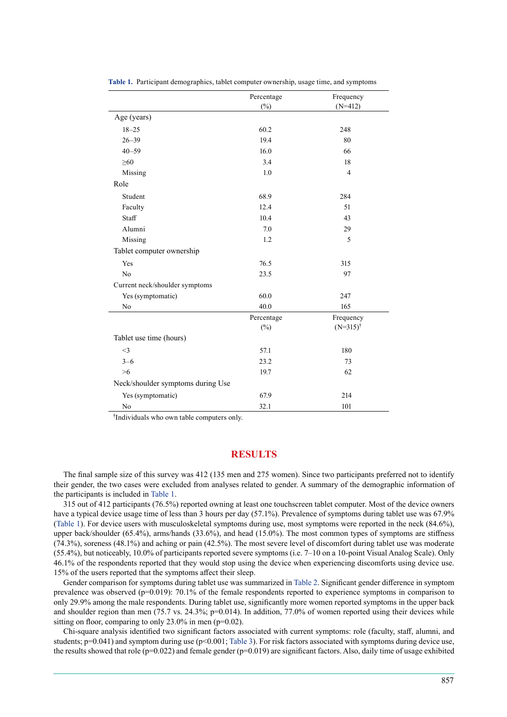|                                   | Percentage | Frequency           |  |
|-----------------------------------|------------|---------------------|--|
|                                   | $(\%)$     | $(N=412)$           |  |
| Age (years)                       |            |                     |  |
| $18 - 25$                         | 60.2       | 248                 |  |
| $26 - 39$                         | 19.4       | 80                  |  |
| $40 - 59$                         | 16.0       | 66                  |  |
| $\geq 60$                         | 3.4        | 18                  |  |
| Missing                           | 1.0        | $\overline{4}$      |  |
| Role                              |            |                     |  |
| Student                           | 68.9       | 284                 |  |
| Faculty                           | 12.4       | 51                  |  |
| Staff                             | 10.4       | 43                  |  |
| Alumni                            | 7.0        | 29                  |  |
| Missing                           | 1.2        | 5                   |  |
| Tablet computer ownership         |            |                     |  |
| Yes                               | 76.5       | 315                 |  |
| No                                | 23.5       | 97                  |  |
| Current neck/shoulder symptoms    |            |                     |  |
| Yes (symptomatic)                 | 60.0       | 247                 |  |
| No                                | 40.0       | 165                 |  |
|                                   | Percentage | Frequency           |  |
|                                   | $(\%)$     | $(N=315)^{\dagger}$ |  |
| Tablet use time (hours)           |            |                     |  |
| $<$ 3                             | 57.1       | 180                 |  |
| $3 - 6$                           | 23.2       | 73                  |  |
| $>6$                              | 19.7       | 62                  |  |
| Neck/shoulder symptoms during Use |            |                     |  |
| Yes (symptomatic)                 | 67.9       | 214                 |  |
| No                                | 32.1       | 101                 |  |

**Table 1.** Participant demographics, tablet computer ownership, usage time, and symptoms

†Individuals who own table computers only.

#### **RESULTS**

The final sample size of this survey was 412 (135 men and 275 women). Since two participants preferred not to identify their gender, the two cases were excluded from analyses related to gender. A summary of the demographic information of the participants is included in Table 1.

315 out of 412 participants (76.5%) reported owning at least one touchscreen tablet computer. Most of the device owners have a typical device usage time of less than 3 hours per day (57.1%). Prevalence of symptoms during tablet use was 67.9% (Table 1). For device users with musculoskeletal symptoms during use, most symptoms were reported in the neck (84.6%), upper back/shoulder (65.4%), arms/hands (33.6%), and head (15.0%). The most common types of symptoms are stiffness (74.3%), soreness (48.1%) and aching or pain (42.5%). The most severe level of discomfort during tablet use was moderate (55.4%), but noticeably, 10.0% of participants reported severe symptoms (i.e. 7–10 on a 10-point Visual Analog Scale). Only 46.1% of the respondents reported that they would stop using the device when experiencing discomforts using device use. 15% of the users reported that the symptoms affect their sleep.

Gender comparison for symptoms during tablet use was summarized in Table 2. Significant gender difference in symptom prevalence was observed ( $p=0.019$ ): 70.1% of the female respondents reported to experience symptoms in comparison to only 29.9% among the male respondents. During tablet use, significantly more women reported symptoms in the upper back and shoulder region than men (75.7 vs. 24.3%; p=0.014). In addition, 77.0% of women reported using their devices while sitting on floor, comparing to only 23.0% in men  $(p=0.02)$ .

Chi-square analysis identified two significant factors associated with current symptoms: role (faculty, staff, alumni, and students;  $p=0.041$ ) and symptom during use ( $p<0.001$ ; Table 3). For risk factors associated with symptoms during device use, the results showed that role ( $p=0.022$ ) and female gender ( $p=0.019$ ) are significant factors. Also, daily time of usage exhibited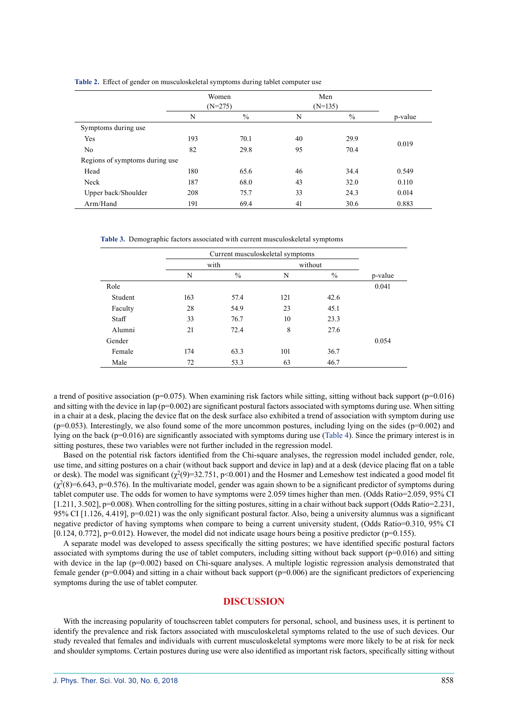|  | Table 2. Effect of gender on musculoskeletal symptoms during tablet computer use |  |  |
|--|----------------------------------------------------------------------------------|--|--|
|  |                                                                                  |  |  |

|                                |     | Women<br>$(N=275)$ |    | Men<br>$(N=135)$ |         |
|--------------------------------|-----|--------------------|----|------------------|---------|
|                                | N   | $\frac{0}{0}$      | N  | $\frac{0}{0}$    | p-value |
| Symptoms during use            |     |                    |    |                  |         |
| Yes                            | 193 | 70.1               | 40 | 29.9             |         |
| No                             | 82  | 29.8               | 95 | 70.4             | 0.019   |
| Regions of symptoms during use |     |                    |    |                  |         |
| Head                           | 180 | 65.6               | 46 | 34.4             | 0.549   |
| Neck                           | 187 | 68.0               | 43 | 32.0             | 0.110   |
| Upper back/Shoulder            | 208 | 75.7               | 33 | 24.3             | 0.014   |
| Arm/Hand                       | 191 | 69.4               | 41 | 30.6             | 0.883   |

**Table 3.** Demographic factors associated with current musculoskeletal symptoms

|         | Current musculoskeletal symptoms |               |     |               |         |
|---------|----------------------------------|---------------|-----|---------------|---------|
|         |                                  | with          |     | without       |         |
|         | N                                | $\frac{0}{0}$ | N   | $\frac{0}{0}$ | p-value |
| Role    |                                  |               |     |               | 0.041   |
| Student | 163                              | 57.4          | 121 | 42.6          |         |
| Faculty | 28                               | 54.9          | 23  | 45.1          |         |
| Staff   | 33                               | 76.7          | 10  | 23.3          |         |
| Alumni  | 21                               | 72.4          | 8   | 27.6          |         |
| Gender  |                                  |               |     |               | 0.054   |
| Female  | 174                              | 63.3          | 101 | 36.7          |         |
| Male    | 72                               | 53.3          | 63  | 46.7          |         |

a trend of positive association ( $p=0.075$ ). When examining risk factors while sitting, sitting without back support ( $p=0.016$ ) and sitting with the device in lap  $(p=0.002)$  are significant postural factors associated with symptoms during use. When sitting in a chair at a desk, placing the device flat on the desk surface also exhibited a trend of association with symptom during use  $(p=0.053)$ . Interestingly, we also found some of the more uncommon postures, including lying on the sides ( $p=0.002$ ) and lying on the back (p=0.016) are significantly associated with symptoms during use (Table 4). Since the primary interest is in sitting postures, these two variables were not further included in the regression model.

Based on the potential risk factors identified from the Chi-square analyses, the regression model included gender, role, use time, and sitting postures on a chair (without back support and device in lap) and at a desk (device placing flat on a table or desk). The model was significant  $(\chi^2(9)=32.751, p<0.001)$  and the Hosmer and Lemeshow test indicated a good model fit  $(\chi^2(8)=6.643, p=0.576)$ . In the multivariate model, gender was again shown to be a significant predictor of symptoms during tablet computer use. The odds for women to have symptoms were 2.059 times higher than men. (Odds Ratio=2.059, 95% CI [1.211, 3.502], p=0.008). When controlling for the sitting postures, sitting in a chair without back support (Odds Ratio=2.231, 95% CI  $[1.126, 4.419]$ ,  $p=0.021$ ) was the only significant postural factor. Also, being a university alumnus was a significant negative predictor of having symptoms when compare to being a current university student, (Odds Ratio=0.310, 95% CI [0.124, 0.772], p=0.012). However, the model did not indicate usage hours being a positive predictor (p=0.155).

A separate model was developed to assess specifically the sitting postures; we have identified specific postural factors associated with symptoms during the use of tablet computers, including sitting without back support  $(p=0.016)$  and sitting with device in the lap (p=0.002) based on Chi-square analyses. A multiple logistic regression analysis demonstrated that female gender  $(p=0.004)$  and sitting in a chair without back support  $(p=0.006)$  are the significant predictors of experiencing symptoms during the use of tablet computer.

#### **DISCUSSION**

With the increasing popularity of touchscreen tablet computers for personal, school, and business uses, it is pertinent to identify the prevalence and risk factors associated with musculoskeletal symptoms related to the use of such devices. Our study revealed that females and individuals with current musculoskeletal symptoms were more likely to be at risk for neck and shoulder symptoms. Certain postures during use were also identified as important risk factors, specifically sitting without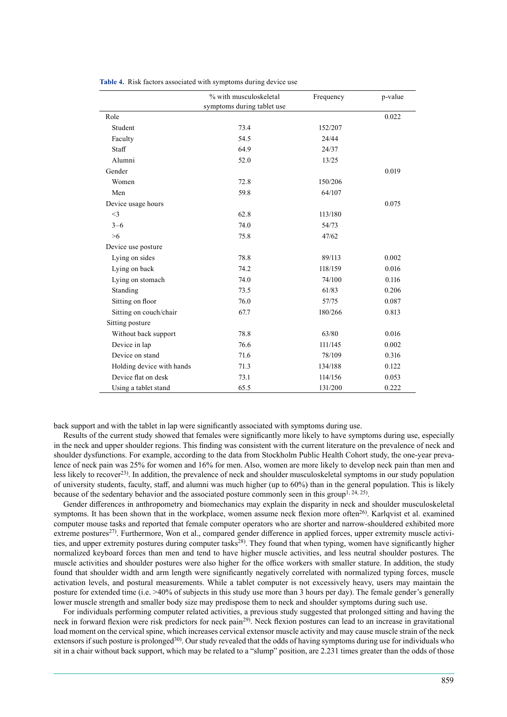|                           | % with musculoskeletal<br>symptoms during tablet use | Frequency | p-value |
|---------------------------|------------------------------------------------------|-----------|---------|
| Role                      |                                                      |           | 0.022   |
| Student                   | 73.4                                                 | 152/207   |         |
| Faculty                   | 54.5                                                 | 24/44     |         |
| Staff                     | 64.9                                                 | 24/37     |         |
| Alumni                    | 52.0                                                 | 13/25     |         |
| Gender                    |                                                      |           | 0.019   |
| Women                     | 72.8                                                 | 150/206   |         |
| Men                       | 59.8                                                 | 64/107    |         |
| Device usage hours        |                                                      |           | 0.075   |
| $<$ 3                     | 62.8                                                 | 113/180   |         |
| $3 - 6$                   | 74.0                                                 | 54/73     |         |
| >6                        | 75.8                                                 | 47/62     |         |
| Device use posture        |                                                      |           |         |
| Lying on sides            | 78.8                                                 | 89/113    | 0.002   |
| Lying on back             | 74.2                                                 | 118/159   | 0.016   |
| Lying on stomach          | 74.0                                                 | 74/100    | 0.116   |
| Standing                  | 73.5                                                 | 61/83     | 0.206   |
| Sitting on floor          | 76.0                                                 | 57/75     | 0.087   |
| Sitting on couch/chair    | 67.7                                                 | 180/266   | 0.813   |
| Sitting posture           |                                                      |           |         |
| Without back support      | 78.8                                                 | 63/80     | 0.016   |
| Device in lap             | 76.6                                                 | 111/145   | 0.002   |
| Device on stand           | 71.6                                                 | 78/109    | 0.316   |
| Holding device with hands | 71.3                                                 | 134/188   | 0.122   |
| Device flat on desk       | 73.1                                                 | 114/156   | 0.053   |
| Using a tablet stand      | 65.5                                                 | 131/200   | 0.222   |

**Table 4.** Risk factors associated with symptoms during device use

back support and with the tablet in lap were significantly associated with symptoms during use.

Results of the current study showed that females were significantly more likely to have symptoms during use, especially in the neck and upper shoulder regions. This finding was consistent with the current literature on the prevalence of neck and shoulder dysfunctions. For example, according to the data from Stockholm Public Health Cohort study, the one-year prevalence of neck pain was 25% for women and 16% for men. Also, women are more likely to develop neck pain than men and less likely to recover<sup>23)</sup>. In addition, the prevalence of neck and shoulder musculoskeletal symptoms in our study population of university students, faculty, staff, and alumni was much higher (up to 60%) than in the general population. This is likely because of the sedentary behavior and the associated posture commonly seen in this group<sup>1, 24, 25)</sup>.

Gender differences in anthropometry and biomechanics may explain the disparity in neck and shoulder musculoskeletal symptoms. It has been shown that in the workplace, women assume neck flexion more often<sup>26</sup>). Karlqvist et al. examined computer mouse tasks and reported that female computer operators who are shorter and narrow-shouldered exhibited more extreme postures<sup>27</sup>). Furthermore, Won et al., compared gender difference in applied forces, upper extremity muscle activities, and upper extremity postures during computer tasks<sup>28</sup>). They found that when typing, women have significantly higher normalized keyboard forces than men and tend to have higher muscle activities, and less neutral shoulder postures. The muscle activities and shoulder postures were also higher for the office workers with smaller stature. In addition, the study found that shoulder width and arm length were significantly negatively correlated with normalized typing forces, muscle activation levels, and postural measurements. While a tablet computer is not excessively heavy, users may maintain the posture for extended time (i.e. >40% of subjects in this study use more than 3 hours per day). The female gender's generally lower muscle strength and smaller body size may predispose them to neck and shoulder symptoms during such use.

For individuals performing computer related activities, a previous study suggested that prolonged sitting and having the neck in forward flexion were risk predictors for neck pain<sup>29)</sup>. Neck flexion postures can lead to an increase in gravitational load moment on the cervical spine, which increases cervical extensor muscle activity and may cause muscle strain of the neck extensors if such posture is prolonged<sup>30</sup>. Our study revealed that the odds of having symptoms during use for individuals who sit in a chair without back support, which may be related to a "slump" position, are 2.231 times greater than the odds of those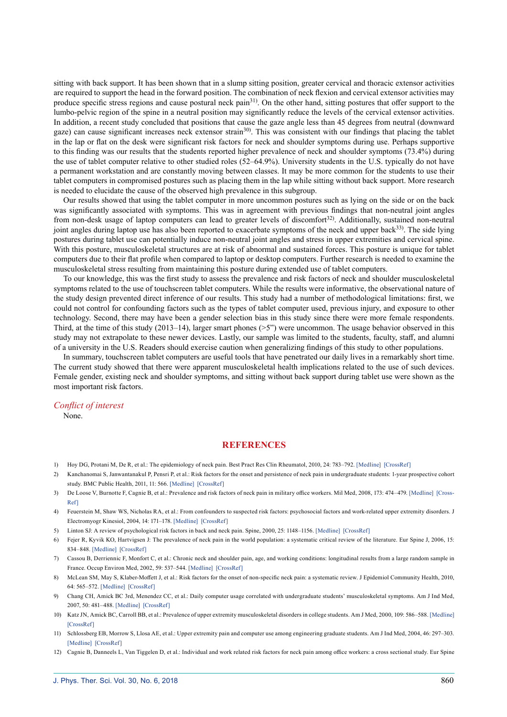sitting with back support. It has been shown that in a slump sitting position, greater cervical and thoracic extensor activities are required to support the head in the forward position. The combination of neck flexion and cervical extensor activities may produce specific stress regions and cause postural neck pain<sup>31)</sup>. On the other hand, sitting postures that offer support to the lumbo-pelvic region of the spine in a neutral position may significantly reduce the levels of the cervical extensor activities. In addition, a recent study concluded that positions that cause the gaze angle less than 45 degrees from neutral (downward gaze) can cause significant increases neck extensor strain<sup>30</sup>. This was consistent with our findings that placing the tablet in the lap or flat on the desk were significant risk factors for neck and shoulder symptoms during use. Perhaps supportive to this finding was our results that the students reported higher prevalence of neck and shoulder symptoms (73.4%) during the use of tablet computer relative to other studied roles (52–64.9%). University students in the U.S. typically do not have a permanent workstation and are constantly moving between classes. It may be more common for the students to use their tablet computers in compromised postures such as placing them in the lap while sitting without back support. More research is needed to elucidate the cause of the observed high prevalence in this subgroup.

Our results showed that using the tablet computer in more uncommon postures such as lying on the side or on the back was significantly associated with symptoms. This was in agreement with previous findings that non-neutral joint angles from non-desk usage of laptop computers can lead to greater levels of discomfort<sup>32</sup>. Additionally, sustained non-neutral joint angles during laptop use has also been reported to exacerbate symptoms of the neck and upper back<sup>33</sup>. The side lying postures during tablet use can potentially induce non-neutral joint angles and stress in upper extremities and cervical spine. With this posture, musculoskeletal structures are at risk of abnormal and sustained forces. This posture is unique for tablet computers due to their flat profile when compared to laptop or desktop computers. Further research is needed to examine the musculoskeletal stress resulting from maintaining this posture during extended use of tablet computers.

To our knowledge, this was the first study to assess the prevalence and risk factors of neck and shoulder musculoskeletal symptoms related to the use of touchscreen tablet computers. While the results were informative, the observational nature of the study design prevented direct inference of our results. This study had a number of methodological limitations: first, we could not control for confounding factors such as the types of tablet computer used, previous injury, and exposure to other technology. Second, there may have been a gender selection bias in this study since there were more female respondents. Third, at the time of this study (2013–14), larger smart phones (>5") were uncommon. The usage behavior observed in this study may not extrapolate to these newer devices. Lastly, our sample was limited to the students, faculty, staff, and alumni of a university in the U.S. Readers should exercise caution when generalizing findings of this study to other populations.

In summary, touchscreen tablet computers are useful tools that have penetrated our daily lives in a remarkably short time. The current study showed that there were apparent musculoskeletal health implications related to the use of such devices. Female gender, existing neck and shoulder symptoms, and sitting without back support during tablet use were shown as the most important risk factors.

#### *Conflict of interest*

None.

#### **REFERENCES**

- 1) Hoy DG, Protani M, De R, et al.: The epidemiology of neck pain. Best Pract Res Clin Rheumatol, 2010, 24: 783–792. [Medline] [CrossRef]
- 2) Kanchanomai S, Janwantanakul P, Pensri P, et al.: Risk factors for the onset and persistence of neck pain in undergraduate students: 1-year prospective cohort study. BMC Public Health, 2011, 11: 566. [Medline] [CrossRef]
- 3) De Loose V, Burnotte F, Cagnie B, et al.: Prevalence and risk factors of neck pain in military office workers. Mil Med, 2008, 173: 474–479. [Medline] [Cross-Ref]
- 4) Feuerstein M, Shaw WS, Nicholas RA, et al.: From confounders to suspected risk factors: psychosocial factors and work-related upper extremity disorders. J Electromyogr Kinesiol, 2004, 14: 171–178. [Medline] [CrossRef]
- 5) Linton SJ: A review of psychological risk factors in back and neck pain. Spine, 2000, 25: 1148–1156. [Medline] [CrossRef]
- 6) Fejer R, Kyvik KO, Hartvigsen J: The prevalence of neck pain in the world population: a systematic critical review of the literature. Eur Spine J, 2006, 15: 834–848. [Medline] [CrossRef]
- 7) Cassou B, Derriennic F, Monfort C, et al.: Chronic neck and shoulder pain, age, and working conditions: longitudinal results from a large random sample in France. Occup Environ Med, 2002, 59: 537–544. [Medline] [CrossRef]
- 8) McLean SM, May S, Klaber-Moffett J, et al.: Risk factors for the onset of non-specific neck pain: a systematic review. J Epidemiol Community Health, 2010, 64: 565–572. [Medline] [CrossRef]
- 9) Chang CH, Amick BC 3rd, Menendez CC, et al.: Daily computer usage correlated with undergraduate students' musculoskeletal symptoms. Am J Ind Med, 2007, 50: 481–488. [Medline] [CrossRef]
- 10) Katz JN, Amick BC, Carroll BB, et al.: Prevalence of upper extremity musculoskeletal disorders in college students. Am J Med, 2000, 109: 586–588. [Medline] [CrossRef]
- 11) Schlossberg EB, Morrow S, Llosa AE, et al.: Upper extremity pain and computer use among engineering graduate students. Am J Ind Med, 2004, 46: 297–303. [Medline] [CrossRef]
- 12) Cagnie B, Danneels L, Van Tiggelen D, et al.: Individual and work related risk factors for neck pain among office workers: a cross sectional study. Eur Spine